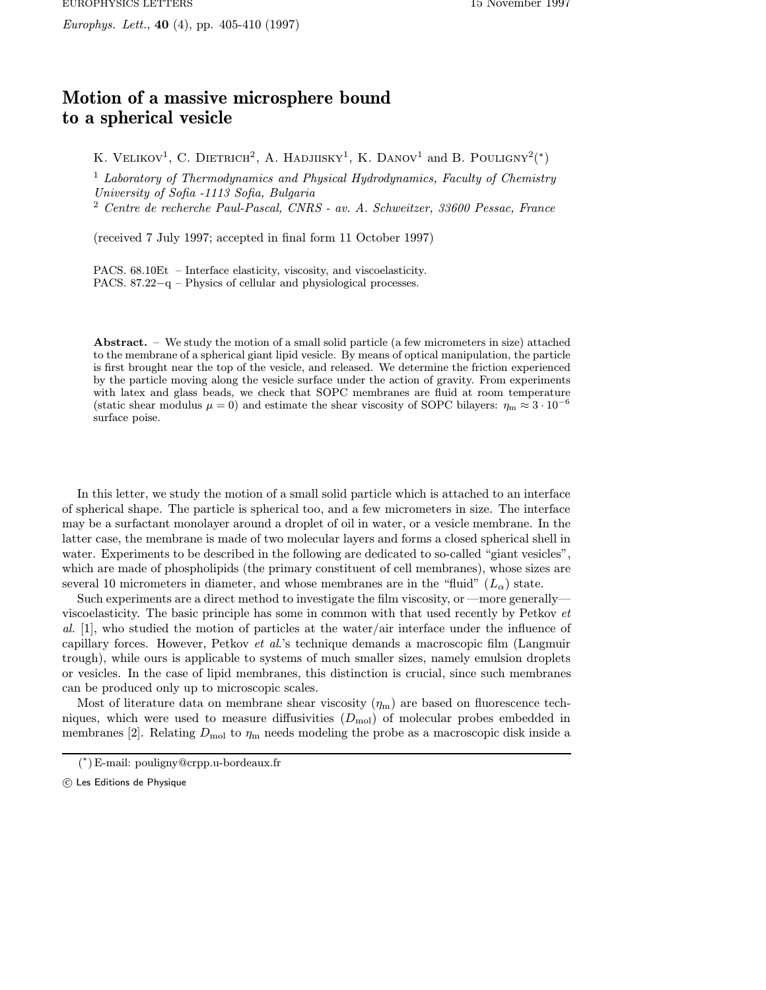## Motion of a massive microsphere bound to a spherical vesicle

K. VELIKOV<sup>1</sup>, C. DIETRICH<sup>2</sup>, A. HADJIISKY<sup>1</sup>, K. DANOV<sup>1</sup> and B. POULIGNY<sup>2</sup>(\*)

<sup>1</sup> Laboratory of Thermodynamics and Physical Hydrodynamics, Faculty of Chemistry University of Sofia -1113 Sofia, Bulgaria

<sup>2</sup> Centre de recherche Paul-Pascal, CNRS - av. A. Schweitzer, 33600 Pessac, France

(received 7 July 1997; accepted in final form 11 October 1997)

PACS. 68.10Et – Interface elasticity, viscosity, and viscoelasticity. PACS. 87.22−q – Physics of cellular and physiological processes.

Abstract. – We study the motion of a small solid particle (a few micrometers in size) attached to the membrane of a spherical giant lipid vesicle. By means of optical manipulation, the particle is first brought near the top of the vesicle, and released. We determine the friction experienced by the particle moving along the vesicle surface under the action of gravity. From experiments with latex and glass beads, we check that SOPC membranes are fluid at room temperature (static shear modulus  $\mu = 0$ ) and estimate the shear viscosity of SOPC bilayers:  $\eta_m \approx 3 \cdot 10^{-6}$ surface poise.

In this letter, we study the motion of a small solid particle which is attached to an interface of spherical shape. The particle is spherical too, and a few micrometers in size. The interface may be a surfactant monolayer around a droplet of oil in water, or a vesicle membrane. In the latter case, the membrane is made of two molecular layers and forms a closed spherical shell in water. Experiments to be described in the following are dedicated to so-called "giant vesicles", which are made of phospholipids (the primary constituent of cell membranes), whose sizes are several 10 micrometers in diameter, and whose membranes are in the "fluid"  $(L_{\alpha})$  state.

Such experiments are a direct method to investigate the film viscosity, or—more generally viscoelasticity. The basic principle has some in common with that used recently by Petkov et al. [1], who studied the motion of particles at the water/air interface under the influence of capillary forces. However, Petkov et al.'s technique demands a macroscopic film (Langmuir trough), while ours is applicable to systems of much smaller sizes, namely emulsion droplets or vesicles. In the case of lipid membranes, this distinction is crucial, since such membranes can be produced only up to microscopic scales.

Most of literature data on membrane shear viscosity  $(\eta_m)$  are based on fluorescence techniques, which were used to measure diffusivities  $(D_{\text{mol}})$  of molecular probes embedded in membranes [2]. Relating  $D_{\text{mol}}$  to  $\eta_{\text{m}}$  needs modeling the probe as a macroscopic disk inside a

<sup>(</sup> <sup>∗</sup>) E-mail: pouligny@crpp.u-bordeaux.fr

c Les Editions de Physique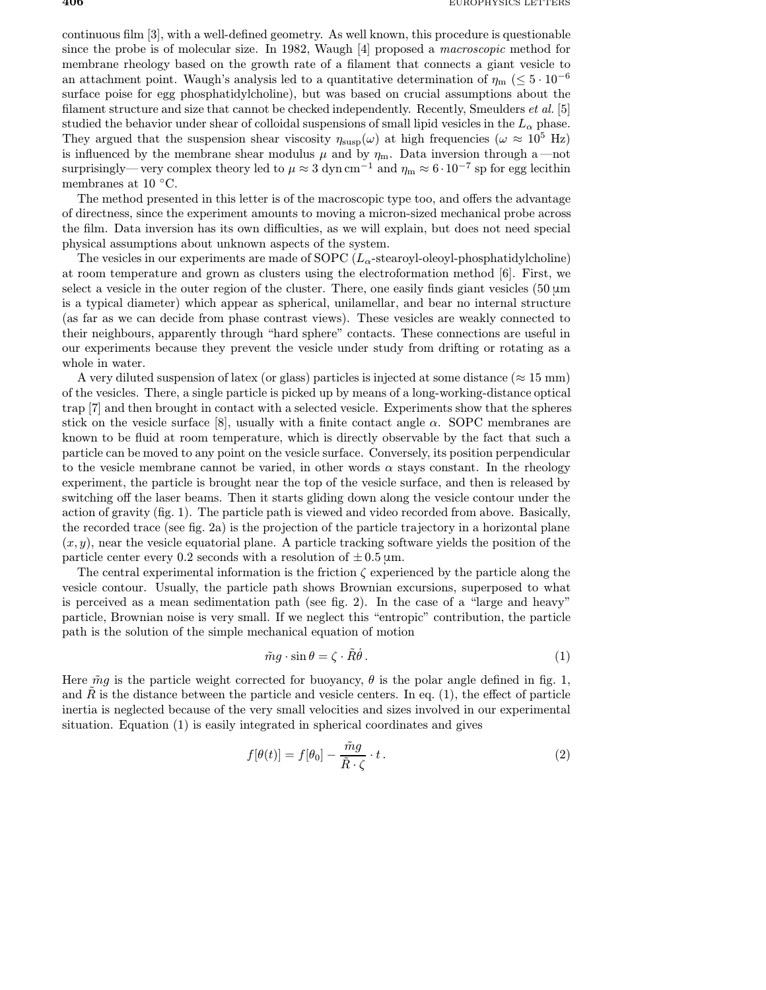continuous film [3], with a well-defined geometry. As well known, this procedure is questionable since the probe is of molecular size. In 1982, Waugh [4] proposed a macroscopic method for membrane rheology based on the growth rate of a filament that connects a giant vesicle to an attachment point. Waugh's analysis led to a quantitative determination of  $\eta_m$  (≤ 5 · 10<sup>-6</sup>) surface poise for egg phosphatidylcholine), but was based on crucial assumptions about the filament structure and size that cannot be checked independently. Recently, Smeulders et al. [5] studied the behavior under shear of colloidal suspensions of small lipid vesicles in the  $L_{\alpha}$  phase. They argued that the suspension shear viscosity  $\eta_{\text{susp}}(\omega)$  at high frequencies ( $\omega \approx 10^5$  Hz) is influenced by the membrane shear modulus  $\mu$  and by  $\eta_m$ . Data inversion through a —not surprisingly—very complex theory led to  $\mu \approx 3 \text{ dyn cm}^{-1}$  and  $\eta_{\text{m}} \approx 6 \cdot 10^{-7}$  sp for egg lecithin membranes at 10 $\degree$ C.

The method presented in this letter is of the macroscopic type too, and offers the advantage of directness, since the experiment amounts to moving a micron-sized mechanical probe across the film. Data inversion has its own difficulties, as we will explain, but does not need special physical assumptions about unknown aspects of the system.

The vesicles in our experiments are made of SOPC  $(L_{\alpha}$ -stearoyl-oleoyl-phosphatidylcholine) at room temperature and grown as clusters using the electroformation method [6]. First, we select a vesicle in the outer region of the cluster. There, one easily finds giant vesicles  $(50 \,\mu m)$ is a typical diameter) which appear as spherical, unilamellar, and bear no internal structure (as far as we can decide from phase contrast views). These vesicles are weakly connected to their neighbours, apparently through "hard sphere" contacts. These connections are useful in our experiments because they prevent the vesicle under study from drifting or rotating as a whole in water.

A very diluted suspension of latex (or glass) particles is injected at some distance ( $\approx 15$  mm) of the vesicles. There, a single particle is picked up by means of a long-working-distance optical trap [7] and then brought in contact with a selected vesicle. Experiments show that the spheres stick on the vesicle surface [8], usually with a finite contact angle  $\alpha$ . SOPC membranes are known to be fluid at room temperature, which is directly observable by the fact that such a particle can be moved to any point on the vesicle surface. Conversely, its position perpendicular to the vesicle membrane cannot be varied, in other words  $\alpha$  stays constant. In the rheology experiment, the particle is brought near the top of the vesicle surface, and then is released by switching off the laser beams. Then it starts gliding down along the vesicle contour under the action of gravity (fig. 1). The particle path is viewed and video recorded from above. Basically, the recorded trace (see fig. 2a) is the projection of the particle trajectory in a horizontal plane  $(x, y)$ , near the vesicle equatorial plane. A particle tracking software yields the position of the particle center every 0.2 seconds with a resolution of  $\pm$  0.5 µm.

The central experimental information is the friction  $\zeta$  experienced by the particle along the vesicle contour. Usually, the particle path shows Brownian excursions, superposed to what is perceived as a mean sedimentation path (see fig. 2). In the case of a "large and heavy" particle, Brownian noise is very small. If we neglect this "entropic" contribution, the particle path is the solution of the simple mechanical equation of motion

$$
\tilde{m}g \cdot \sin \theta = \zeta \cdot \tilde{R}\dot{\theta} \,. \tag{1}
$$

Here  $\tilde{m}g$  is the particle weight corrected for buoyancy,  $\theta$  is the polar angle defined in fig. 1, and  $\hat{R}$  is the distance between the particle and vesicle centers. In eq. (1), the effect of particle inertia is neglected because of the very small velocities and sizes involved in our experimental situation. Equation (1) is easily integrated in spherical coordinates and gives

$$
f[\theta(t)] = f[\theta_0] - \frac{\tilde{m}g}{\tilde{R} \cdot \zeta} \cdot t \,. \tag{2}
$$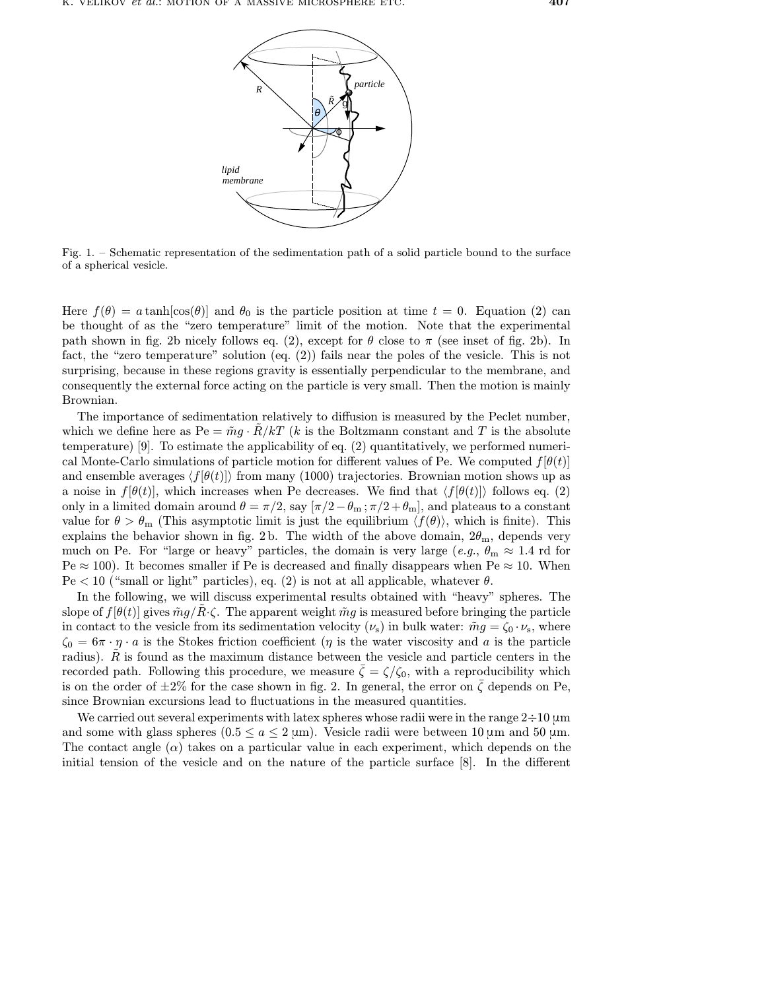

Fig. 1. – Schematic representation of the sedimentation path of a solid particle bound to the surface of a spherical vesicle.

Here  $f(\theta) = a \tanh[\cos(\theta)]$  and  $\theta_0$  is the particle position at time  $t = 0$ . Equation (2) can be thought of as the "zero temperature" limit of the motion. Note that the experimental path shown in fig. 2b nicely follows eq. (2), except for  $\theta$  close to  $\pi$  (see inset of fig. 2b). In fact, the "zero temperature" solution (eq. (2)) fails near the poles of the vesicle. This is not surprising, because in these regions gravity is essentially perpendicular to the membrane, and consequently the external force acting on the particle is very small. Then the motion is mainly Brownian.

The importance of sedimentation relatively to diffusion is measured by the Peclet number, which we define here as  $Pe = \tilde{m}g \cdot R/kT$  (k is the Boltzmann constant and T is the absolute temperature) [9]. To estimate the applicability of eq. (2) quantitatively, we performed numerical Monte-Carlo simulations of particle motion for different values of Pe. We computed  $f[\theta(t)]$ and ensemble averages  $\langle f[\theta(t)]\rangle$  from many (1000) trajectories. Brownian motion shows up as a noise in  $f[\theta(t)]$ , which increases when Pe decreases. We find that  $\langle f[\theta(t)]\rangle$  follows eq. (2) only in a limited domain around  $\theta = \pi/2$ , say  $[\pi/2 - \theta_m; \pi/2 + \theta_m]$ , and plateaus to a constant value for  $\theta > \theta_m$  (This asymptotic limit is just the equilibrium  $\langle f(\theta) \rangle$ , which is finite). This explains the behavior shown in fig. 2b. The width of the above domain,  $2\theta_{\rm m}$ , depends very much on Pe. For "large or heavy" particles, the domain is very large  $(e.g., \theta_m \approx 1.4 \text{ rd}$  for  $Pe \approx 100$ . It becomes smaller if Pe is decreased and finally disappears when Pe  $\approx 10$ . When  $Pe < 10$  ("small or light" particles), eq. (2) is not at all applicable, whatever  $\theta$ .

In the following, we will discuss experimental results obtained with "heavy" spheres. The slope of  $f[\theta(t)]$  gives  $\tilde{m}g/R\cdot\zeta$ . The apparent weight  $\tilde{m}g$  is measured before bringing the particle in contact to the vesicle from its sedimentation velocity  $(\nu_s)$  in bulk water:  $\tilde{m}g = \zeta_0 \cdot \nu_s$ , where  $\zeta_0 = 6\pi \cdot \eta \cdot a$  is the Stokes friction coefficient ( $\eta$  is the water viscosity and a is the particle radius).  $R$  is found as the maximum distance between the vesicle and particle centers in the recorded path. Following this procedure, we measure  $\zeta = \zeta/\zeta_0$ , with a reproducibility which is on the order of  $\pm 2\%$  for the case shown in fig. 2. In general, the error on  $\zeta$  depends on Pe, since Brownian excursions lead to fluctuations in the measured quantities.

We carried out several experiments with latex spheres whose radii were in the range  $2\div 10 \,\mathrm{\mu m}$ and some with glass spheres  $(0.5 \le a \le 2 \text{ µm})$ . Vesicle radii were between 10  $\text{µm}$  and 50  $\text{µm}$ . The contact angle  $(\alpha)$  takes on a particular value in each experiment, which depends on the initial tension of the vesicle and on the nature of the particle surface [8]. In the different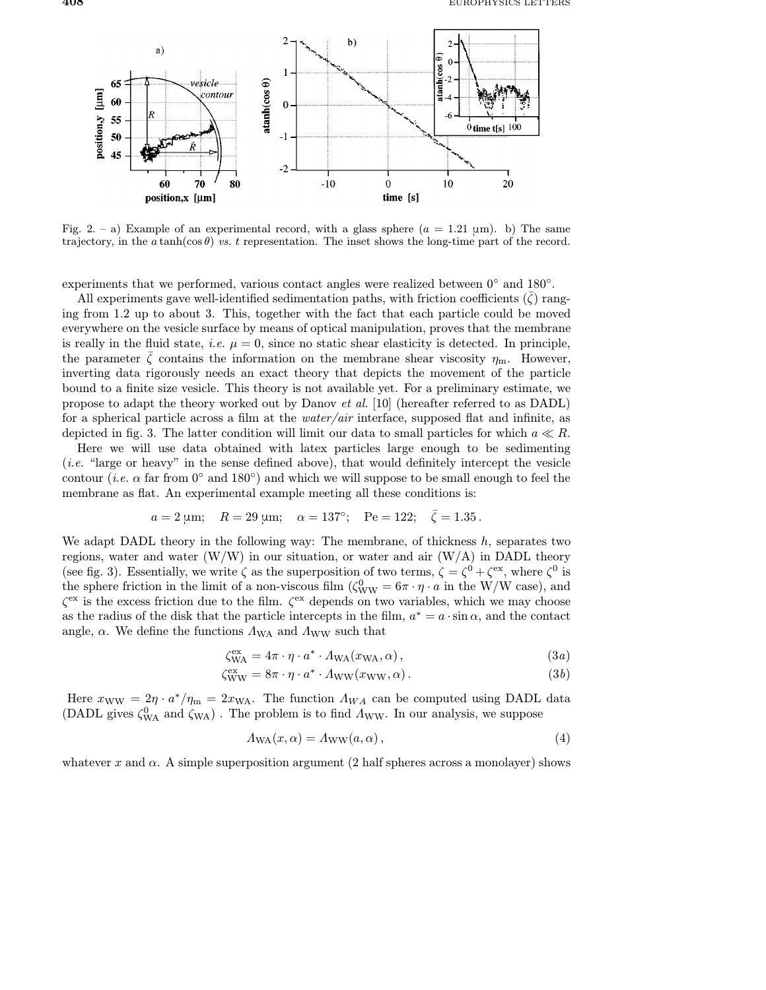

Fig. 2. – a) Example of an experimental record, with a glass sphere  $(a = 1.21 \text{ }\mu\text{m})$ . b) The same trajectory, in the  $a \tanh(\cos \theta)$  vs. t representation. The inset shows the long-time part of the record.

experiments that we performed, various contact angles were realized between 0◦ and 180◦.

All experiments gave well-identified sedimentation paths, with friction coefficients  $(\zeta)$  ranging from 1.2 up to about 3. This, together with the fact that each particle could be moved everywhere on the vesicle surface by means of optical manipulation, proves that the membrane is really in the fluid state, *i.e.*  $\mu = 0$ , since no static shear elasticity is detected. In principle, the parameter  $\bar{\zeta}$  contains the information on the membrane shear viscosity  $\eta_m$ . However, inverting data rigorously needs an exact theory that depicts the movement of the particle bound to a finite size vesicle. This theory is not available yet. For a preliminary estimate, we propose to adapt the theory worked out by Danov et al. [10] (hereafter referred to as DADL) for a spherical particle across a film at the *water/air* interface, supposed flat and infinite, as depicted in fig. 3. The latter condition will limit our data to small particles for which  $a \ll R$ .

Here we will use data obtained with latex particles large enough to be sedimenting (i.e. "large or heavy" in the sense defined above), that would definitely intercept the vesicle contour (*i.e.*  $\alpha$  far from 0° and 180°) and which we will suppose to be small enough to feel the membrane as flat. An experimental example meeting all these conditions is:

$$
a = 2 \text{ µm};
$$
  $R = 29 \text{ µm};$   $\alpha = 137^{\circ};$   $Pe = 122; \quad \bar{\zeta} = 1.35.$ 

We adapt DADL theory in the following way: The membrane, of thickness  $h$ , separates two regions, water and water  $(W/W)$  in our situation, or water and air  $(W/A)$  in DADL theory (see fig. 3). Essentially, we write  $\zeta$  as the superposition of two terms,  $\zeta = \zeta^0 + \zeta^{ex}$ , where  $\zeta^0$  is the sphere friction in the limit of a non-viscous film  $(\zeta_{WW}^0 = 6\pi \cdot \eta \cdot a$  in the W/W case), and  $\zeta^{\text{ex}}$  is the excess friction due to the film.  $\zeta^{\text{ex}}$  depends on two variables, which we may choose as the radius of the disk that the particle intercepts in the film,  $a^* = a \cdot \sin \alpha$ , and the contact angle,  $\alpha$ . We define the functions  $\Lambda_{WA}$  and  $\Lambda_{WW}$  such that

$$
\zeta_{\text{WA}}^{\text{ex}} = 4\pi \cdot \eta \cdot a^* \cdot \Lambda_{\text{WA}}(x_{\text{WA}}, \alpha), \qquad (3a)
$$

$$
\zeta_{WW}^{\text{ex}} = 8\pi \cdot \eta \cdot a^* \cdot A_{WW}(x_{WW}, \alpha). \tag{3b}
$$

Here  $x_{WW} = 2\eta \cdot a^*/\eta_m = 2x_{WA}$ . The function  $\Lambda_{WA}$  can be computed using DADL data (DADL gives  $\zeta_{WA}^0$  and  $\zeta_{WA}$ ). The problem is to find  $\Lambda_{WW}$ . In our analysis, we suppose

$$
\Lambda_{\text{WA}}(x,\alpha) = \Lambda_{\text{WW}}(a,\alpha),\tag{4}
$$

whatever x and  $\alpha$ . A simple superposition argument (2 half spheres across a monolayer) shows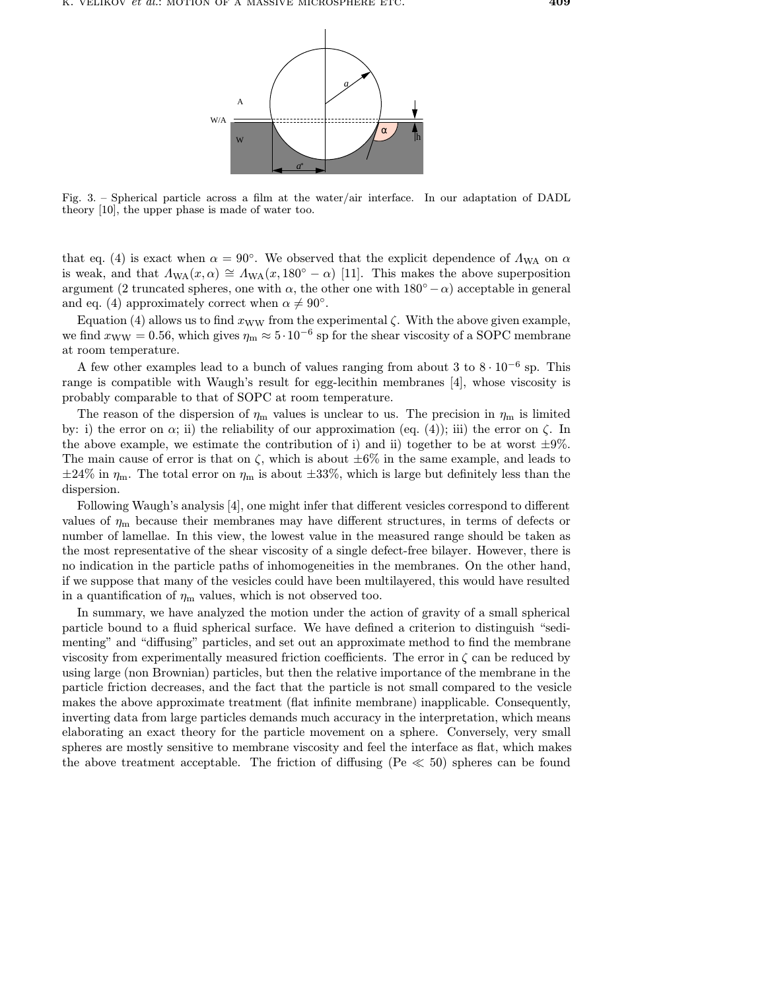

Fig. 3. – Spherical particle across a film at the water/air interface. In our adaptation of DADL theory [10], the upper phase is made of water too.

that eq. (4) is exact when  $\alpha = 90^{\circ}$ . We observed that the explicit dependence of  $\Lambda_{WA}$  on  $\alpha$ is weak, and that  $\Lambda_{\text{WA}}(x, \alpha) \cong \Lambda_{\text{WA}}(x, 180° - \alpha)$  [11]. This makes the above superposition argument (2 truncated spheres, one with  $\alpha$ , the other one with 180<sup>°</sup> –  $\alpha$ ) acceptable in general and eq. (4) approximately correct when  $\alpha \neq 90^{\circ}$ .

Equation (4) allows us to find  $x_{WW}$  from the experimental  $\zeta$ . With the above given example, we find  $x_{WW} = 0.56$ , which gives  $\eta_m \approx 5 \cdot 10^{-6}$  sp for the shear viscosity of a SOPC membrane at room temperature.

A few other examples lead to a bunch of values ranging from about 3 to  $8 \cdot 10^{-6}$  sp. This range is compatible with Waugh's result for egg-lecithin membranes [4], whose viscosity is probably comparable to that of SOPC at room temperature.

The reason of the dispersion of  $\eta_m$  values is unclear to us. The precision in  $\eta_m$  is limited by: i) the error on  $\alpha$ ; ii) the reliability of our approximation (eq. (4)); iii) the error on  $\zeta$ . In the above example, we estimate the contribution of i) and ii) together to be at worst  $\pm 9\%$ . The main cause of error is that on  $\zeta$ , which is about  $\pm 6\%$  in the same example, and leads to  $\pm 24\%$  in  $\eta_{\rm m}$ . The total error on  $\eta_{\rm m}$  is about  $\pm 33\%$ , which is large but definitely less than the dispersion.

Following Waugh's analysis [4], one might infer that different vesicles correspond to different values of  $\eta_{\rm m}$  because their membranes may have different structures, in terms of defects or number of lamellae. In this view, the lowest value in the measured range should be taken as the most representative of the shear viscosity of a single defect-free bilayer. However, there is no indication in the particle paths of inhomogeneities in the membranes. On the other hand, if we suppose that many of the vesicles could have been multilayered, this would have resulted in a quantification of  $\eta_m$  values, which is not observed too.

In summary, we have analyzed the motion under the action of gravity of a small spherical particle bound to a fluid spherical surface. We have defined a criterion to distinguish "sedimenting" and "diffusing" particles, and set out an approximate method to find the membrane viscosity from experimentally measured friction coefficients. The error in  $\zeta$  can be reduced by using large (non Brownian) particles, but then the relative importance of the membrane in the particle friction decreases, and the fact that the particle is not small compared to the vesicle makes the above approximate treatment (flat infinite membrane) inapplicable. Consequently, inverting data from large particles demands much accuracy in the interpretation, which means elaborating an exact theory for the particle movement on a sphere. Conversely, very small spheres are mostly sensitive to membrane viscosity and feel the interface as flat, which makes the above treatment acceptable. The friction of diffusing (Pe  $\ll 50$ ) spheres can be found